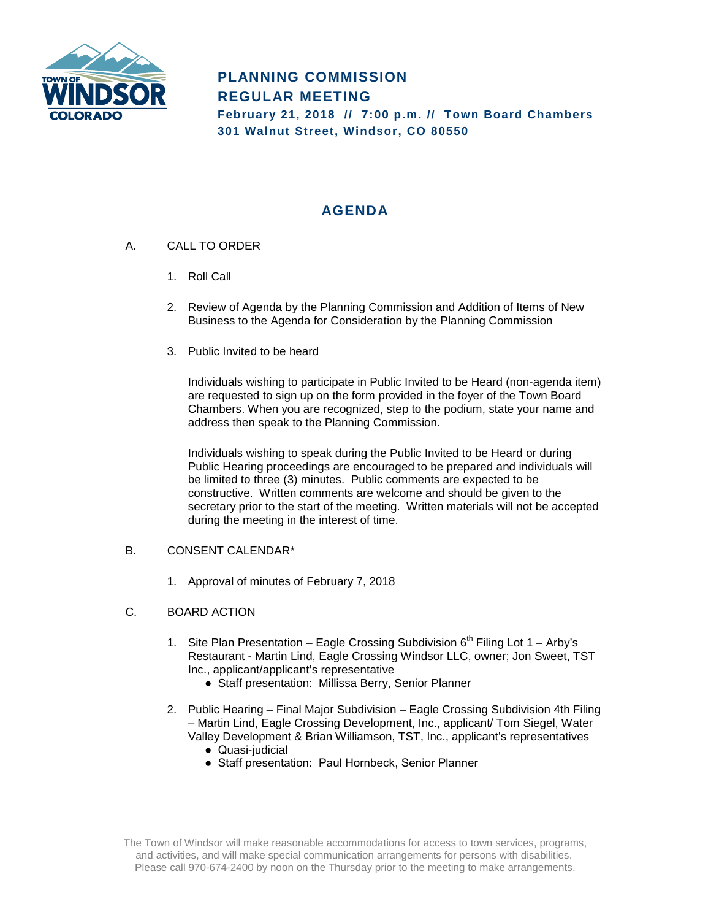

# **PLANNING COMMISSION REGULAR MEETING February 21, 2018 // 7:00 p.m. // Town Board Chambers**

**301 Walnut Street, Windsor, CO 80550**

## **AGENDA**

- A. CALL TO ORDER
	- 1. Roll Call
	- 2. Review of Agenda by the Planning Commission and Addition of Items of New Business to the Agenda for Consideration by the Planning Commission
	- 3. Public Invited to be heard

Individuals wishing to participate in Public Invited to be Heard (non-agenda item) are requested to sign up on the form provided in the foyer of the Town Board Chambers. When you are recognized, step to the podium, state your name and address then speak to the Planning Commission.

Individuals wishing to speak during the Public Invited to be Heard or during Public Hearing proceedings are encouraged to be prepared and individuals will be limited to three (3) minutes. Public comments are expected to be constructive. Written comments are welcome and should be given to the secretary prior to the start of the meeting. Written materials will not be accepted during the meeting in the interest of time.

### B. CONSENT CALENDAR\*

- 1. Approval of minutes of February 7, 2018
- C. BOARD ACTION
	- 1. Site Plan Presentation Eagle Crossing Subdivision  $6<sup>th</sup>$  Filing Lot 1 Arby's Restaurant - Martin Lind, Eagle Crossing Windsor LLC, owner; Jon Sweet, TST Inc., applicant/applicant's representative
		- Staff presentation: Millissa Berry, Senior Planner
	- 2. Public Hearing Final Major Subdivision Eagle Crossing Subdivision 4th Filing – Martin Lind, Eagle Crossing Development, Inc., applicant/ Tom Siegel, Water Valley Development & Brian Williamson, TST, Inc., applicant's representatives
		- Quasi-judicial
		- Staff presentation: Paul Hornbeck, Senior Planner

The Town of Windsor will make reasonable accommodations for access to town services, programs, and activities, and will make special communication arrangements for persons with disabilities. Please call 970-674-2400 by noon on the Thursday prior to the meeting to make arrangements.